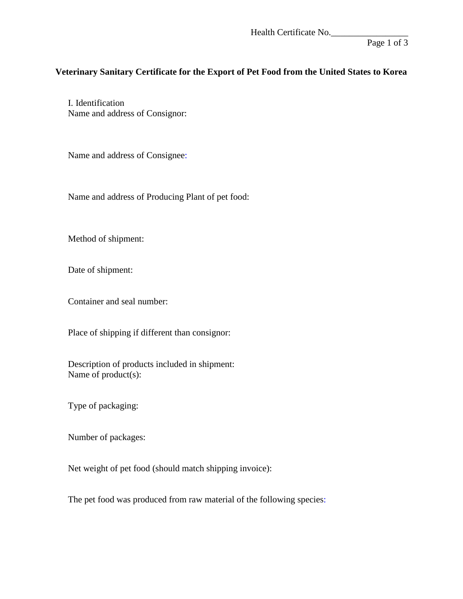Health Certificate No.

Page 1 of 3

## **Veterinary Sanitary Certificate for the Export of Pet Food from the United States to Korea**

I. Identification Name and address of Consignor:

Name and address of Consignee:

Name and address of Producing Plant of pet food:

Method of shipment:

Date of shipment:

Container and seal number:

Place of shipping if different than consignor:

Description of products included in shipment: Name of product(s):

Type of packaging:

Number of packages:

Net weight of pet food (should match shipping invoice):

The pet food was produced from raw material of the following species: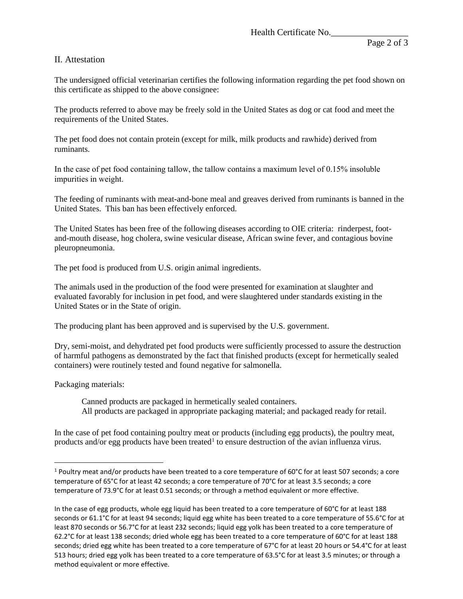## II. Attestation

The undersigned official veterinarian certifies the following information regarding the pet food shown on this certificate as shipped to the above consignee:

The products referred to above may be freely sold in the United States as dog or cat food and meet the requirements of the United States.

The pet food does not contain protein (except for milk, milk products and rawhide) derived from ruminants.

In the case of pet food containing tallow, the tallow contains a maximum level of 0.15% insoluble impurities in weight.

The feeding of ruminants with meat-and-bone meal and greaves derived from ruminants is banned in the United States. This ban has been effectively enforced.

The United States has been free of the following diseases according to OIE criteria: rinderpest, footand-mouth disease, hog cholera, swine vesicular disease, African swine fever, and contagious bovine pleuropneumonia.

The pet food is produced from U.S. origin animal ingredients.

The animals used in the production of the food were presented for examination at slaughter and evaluated favorably for inclusion in pet food, and were slaughtered under standards existing in the United States or in the State of origin.

The producing plant has been approved and is supervised by the U.S. government.

Dry, semi-moist, and dehydrated pet food products were sufficiently processed to assure the destruction of harmful pathogens as demonstrated by the fact that finished products (except for hermetically sealed containers) were routinely tested and found negative for salmonella.

Packaging materials:

Canned products are packaged in hermetically sealed containers. All products are packaged in appropriate packaging material; and packaged ready for retail.

<span id="page-1-0"></span>In the case of pet food containing poultry meat or products (including egg products), the poultry meat, products and/or egg products have been treated<sup>[1](#page-1-0)</sup> to ensure destruction of the avian influenza virus.

<sup>&</sup>lt;sup>1</sup> Poultry meat and/or products have been treated to a core temperature of 60°C for at least 507 seconds; a core temperature of 65°C for at least 42 seconds; a core temperature of 70°C for at least 3.5 seconds; a core temperature of 73.9°C for at least 0.51 seconds; or through a method equivalent or more effective.

In the case of egg products, whole egg liquid has been treated to a core temperature of 60°C for at least 188 seconds or 61.1°C for at least 94 seconds; liquid egg white has been treated to a core temperature of 55.6°C for at least 870 seconds or 56.7°C for at least 232 seconds; liquid egg yolk has been treated to a core temperature of 62.2°C for at least 138 seconds; dried whole egg has been treated to a core temperature of 60°C for at least 188 seconds; dried egg white has been treated to a core temperature of 67°C for at least 20 hours or 54.4°C for at least 513 hours; dried egg yolk has been treated to a core temperature of 63.5°C for at least 3.5 minutes; or through a method equivalent or more effective.